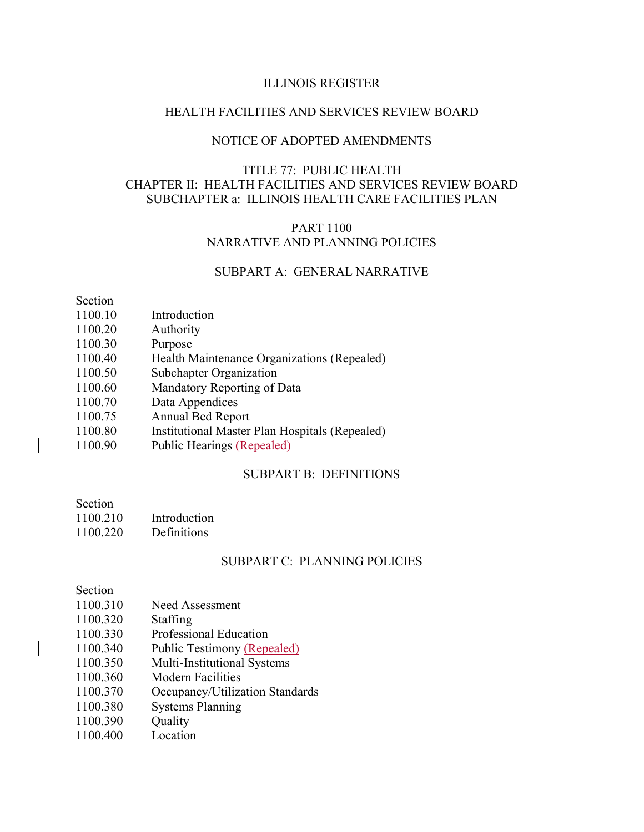#### ILLINOIS REGISTER

## HEALTH FACILITIES AND SERVICES REVIEW BOARD

#### NOTICE OF ADOPTED AMENDMENTS

## TITLE 77: PUBLIC HEALTH CHAPTER II: HEALTH FACILITIES AND SERVICES REVIEW BOARD SUBCHAPTER a: ILLINOIS HEALTH CARE FACILITIES PLAN

## PART 1100 NARRATIVE AND PLANNING POLICIES

## SUBPART A: GENERAL NARRATIVE

Section

- 1100.10 Introduction
- 1100.20 Authority
- 1100.30 Purpose
- 1100.40 Health Maintenance Organizations (Repealed)
- 1100.50 Subchapter Organization
- 1100.60 Mandatory Reporting of Data
- 1100.70 Data Appendices
- 1100.75 Annual Bed Report
- 1100.80 Institutional Master Plan Hospitals (Repealed)
- 1100.90 Public Hearings (Repealed)

## SUBPART B: DEFINITIONS

Section

- 1100.210 Introduction
- 1100.220 Definitions

#### SUBPART C: PLANNING POLICIES

## Section

- 1100.310 Need Assessment
- 1100.320 Staffing
- 1100.330 Professional Education
- 1100.340 Public Testimony (Repealed)
- 1100.350 Multi-Institutional Systems
- 1100.360 Modern Facilities
- 1100.370 Occupancy/Utilization Standards
- 1100.380 Systems Planning
- 1100.390 Ouality
- 1100.400 Location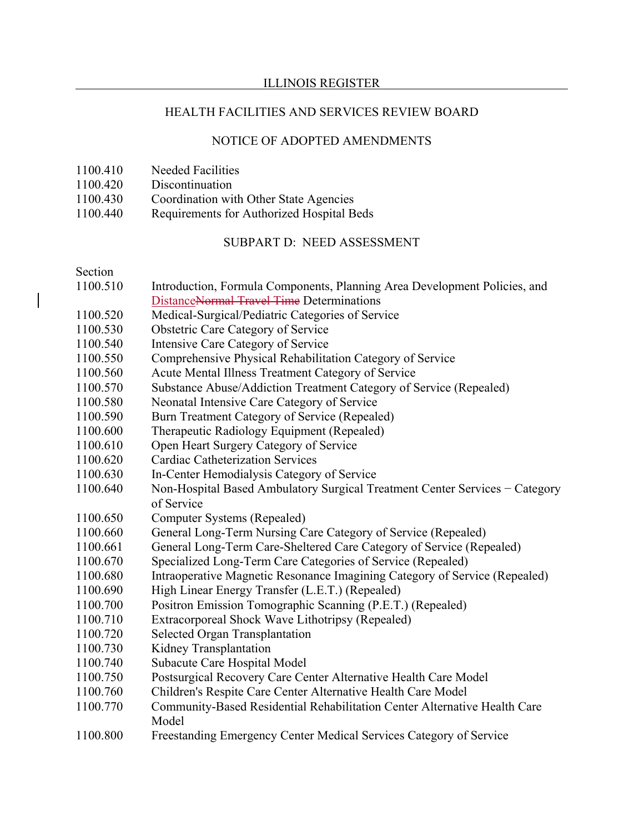#### ILLINOIS REGISTER

## HEALTH FACILITIES AND SERVICES REVIEW BOARD

## NOTICE OF ADOPTED AMENDMENTS

- 1100.410 Needed Facilities
- 1100.420 Discontinuation
- 1100.430 Coordination with Other State Agencies
- 1100.440 Requirements for Authorized Hospital Beds

## SUBPART D: NEED ASSESSMENT

#### Section

- 1100.510 Introduction, Formula Components, Planning Area Development Policies, and DistanceNormal Travel Time Determinations
- 1100.520 Medical-Surgical/Pediatric Categories of Service
- 1100.530 Obstetric Care Category of Service
- 1100.540 Intensive Care Category of Service
- 1100.550 Comprehensive Physical Rehabilitation Category of Service
- 1100.560 Acute Mental Illness Treatment Category of Service
- 1100.570 Substance Abuse/Addiction Treatment Category of Service (Repealed)
- 1100.580 Neonatal Intensive Care Category of Service
- 1100.590 Burn Treatment Category of Service (Repealed)
- 1100.600 Therapeutic Radiology Equipment (Repealed)
- 1100.610 Open Heart Surgery Category of Service
- 1100.620 Cardiac Catheterization Services
- 1100.630 In-Center Hemodialysis Category of Service
- 1100.640 Non-Hospital Based Ambulatory Surgical Treatment Center Services − Category of Service
- 1100.650 Computer Systems (Repealed)
- 1100.660 General Long-Term Nursing Care Category of Service (Repealed)
- 1100.661 General Long-Term Care-Sheltered Care Category of Service (Repealed)
- 1100.670 Specialized Long-Term Care Categories of Service (Repealed)
- 1100.680 Intraoperative Magnetic Resonance Imagining Category of Service (Repealed)
- 1100.690 High Linear Energy Transfer (L.E.T.) (Repealed)
- 1100.700 Positron Emission Tomographic Scanning (P.E.T.) (Repealed)
- 1100.710 Extracorporeal Shock Wave Lithotripsy (Repealed)
- 1100.720 Selected Organ Transplantation
- 1100.730 Kidney Transplantation
- 1100.740 Subacute Care Hospital Model
- 1100.750 Postsurgical Recovery Care Center Alternative Health Care Model
- 1100.760 Children's Respite Care Center Alternative Health Care Model
- 1100.770 Community-Based Residential Rehabilitation Center Alternative Health Care Model
- 1100.800 Freestanding Emergency Center Medical Services Category of Service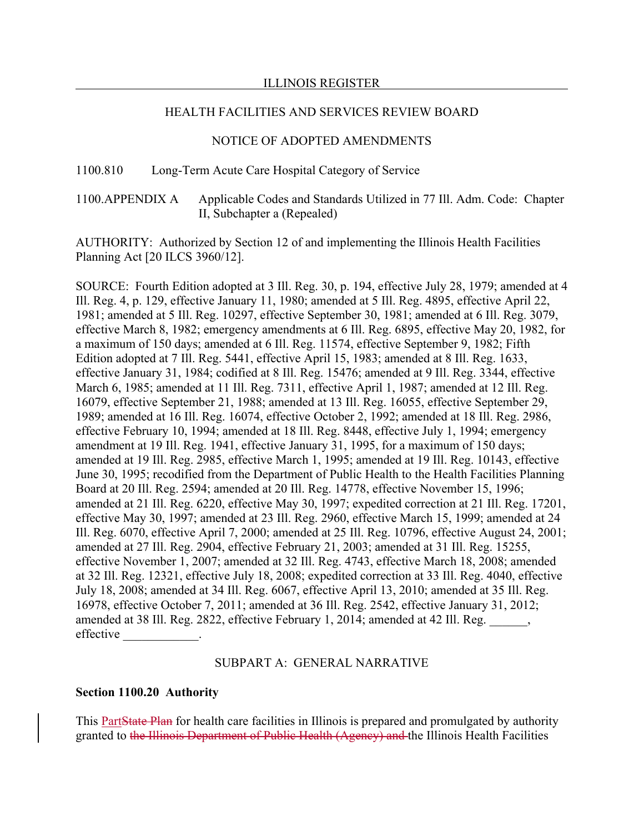## NOTICE OF ADOPTED AMENDMENTS

## 1100.810 Long-Term Acute Care Hospital Category of Service

1100.APPENDIX A Applicable Codes and Standards Utilized in 77 Ill. Adm. Code: Chapter II, Subchapter a (Repealed)

AUTHORITY: Authorized by Section 12 of and implementing the Illinois Health Facilities Planning Act [20 ILCS 3960/12].

SOURCE: Fourth Edition adopted at 3 Ill. Reg. 30, p. 194, effective July 28, 1979; amended at 4 Ill. Reg. 4, p. 129, effective January 11, 1980; amended at 5 Ill. Reg. 4895, effective April 22, 1981; amended at 5 Ill. Reg. 10297, effective September 30, 1981; amended at 6 Ill. Reg. 3079, effective March 8, 1982; emergency amendments at 6 Ill. Reg. 6895, effective May 20, 1982, for a maximum of 150 days; amended at 6 Ill. Reg. 11574, effective September 9, 1982; Fifth Edition adopted at 7 Ill. Reg. 5441, effective April 15, 1983; amended at 8 Ill. Reg. 1633, effective January 31, 1984; codified at 8 Ill. Reg. 15476; amended at 9 Ill. Reg. 3344, effective March 6, 1985; amended at 11 Ill. Reg. 7311, effective April 1, 1987; amended at 12 Ill. Reg. 16079, effective September 21, 1988; amended at 13 Ill. Reg. 16055, effective September 29, 1989; amended at 16 Ill. Reg. 16074, effective October 2, 1992; amended at 18 Ill. Reg. 2986, effective February 10, 1994; amended at 18 Ill. Reg. 8448, effective July 1, 1994; emergency amendment at 19 Ill. Reg. 1941, effective January 31, 1995, for a maximum of 150 days; amended at 19 Ill. Reg. 2985, effective March 1, 1995; amended at 19 Ill. Reg. 10143, effective June 30, 1995; recodified from the Department of Public Health to the Health Facilities Planning Board at 20 Ill. Reg. 2594; amended at 20 Ill. Reg. 14778, effective November 15, 1996; amended at 21 Ill. Reg. 6220, effective May 30, 1997; expedited correction at 21 Ill. Reg. 17201, effective May 30, 1997; amended at 23 Ill. Reg. 2960, effective March 15, 1999; amended at 24 Ill. Reg. 6070, effective April 7, 2000; amended at 25 Ill. Reg. 10796, effective August 24, 2001; amended at 27 Ill. Reg. 2904, effective February 21, 2003; amended at 31 Ill. Reg. 15255, effective November 1, 2007; amended at 32 Ill. Reg. 4743, effective March 18, 2008; amended at 32 Ill. Reg. 12321, effective July 18, 2008; expedited correction at 33 Ill. Reg. 4040, effective July 18, 2008; amended at 34 Ill. Reg. 6067, effective April 13, 2010; amended at 35 Ill. Reg. 16978, effective October 7, 2011; amended at 36 Ill. Reg. 2542, effective January 31, 2012; amended at 38 Ill. Reg. 2822, effective February 1, 2014; amended at 42 Ill. Reg. effective

## SUBPART A: GENERAL NARRATIVE

## **Section 1100.20 Authority**

This PartState Plan for health care facilities in Illinois is prepared and promulgated by authority granted to the Illinois Department of Public Health (Agency) and the Illinois Health Facilities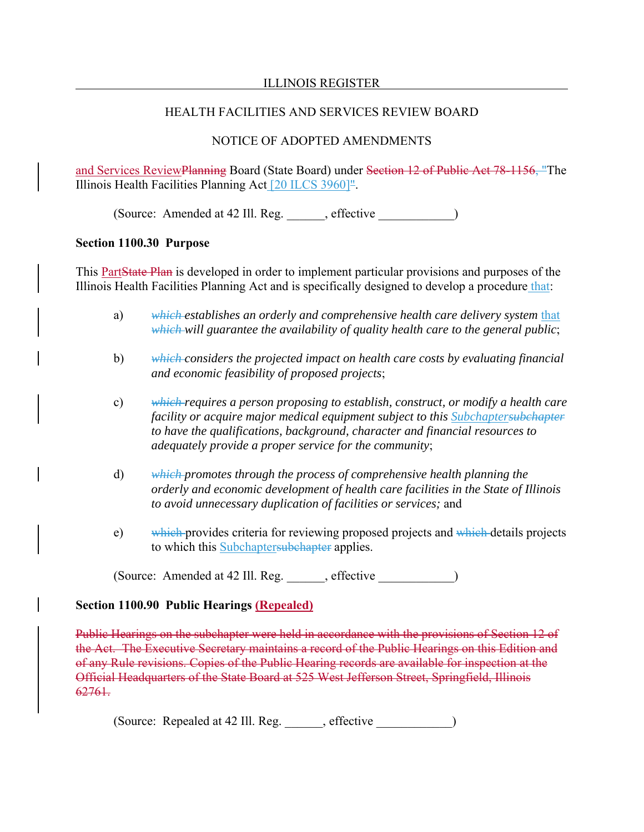# NOTICE OF ADOPTED AMENDMENTS

and Services ReviewPlanning Board (State Board) under Section 12 of Public Act 78-1156, "The Illinois Health Facilities Planning Act [20 ILCS 3960]".

(Source: Amended at 42 Ill. Reg. effective )

## **Section 1100.30 Purpose**

This PartState Plan is developed in order to implement particular provisions and purposes of the Illinois Health Facilities Planning Act and is specifically designed to develop a procedure that:

- a) which establishes an orderly and comprehensive health care delivery system that *which will guarantee the availability of quality health care to the general public*;
- b) *which considers the projected impact on health care costs by evaluating financial and economic feasibility of proposed projects*;
- c) *which requires a person proposing to establish, construct, or modify a health care facility or acquire major medical equipment subject to this Subchaptersubchapter to have the qualifications, background, character and financial resources to adequately provide a proper service for the community*;
- d) *which promotes through the process of comprehensive health planning the orderly and economic development of health care facilities in the State of Illinois to avoid unnecessary duplication of facilities or services;* and
- e) which provides criteria for reviewing proposed projects and which details projects to which this Subchaptersubchapter applies.

(Source: Amended at 42 Ill. Reg. \_\_\_\_\_\_, effective \_\_\_\_\_\_\_\_\_\_\_\_)

# **Section 1100.90 Public Hearings (Repealed)**

Public Hearings on the subchapter were held in accordance with the provisions of Section 12 of the Act. The Executive Secretary maintains a record of the Public Hearings on this Edition and of any Rule revisions. Copies of the Public Hearing records are available for inspection at the Official Headquarters of the State Board at 525 West Jefferson Street, Springfield, Illinois 62761.

(Source: Repealed at 42 Ill. Reg. \_\_\_\_\_\_, effective \_\_\_\_\_\_\_\_\_\_\_\_)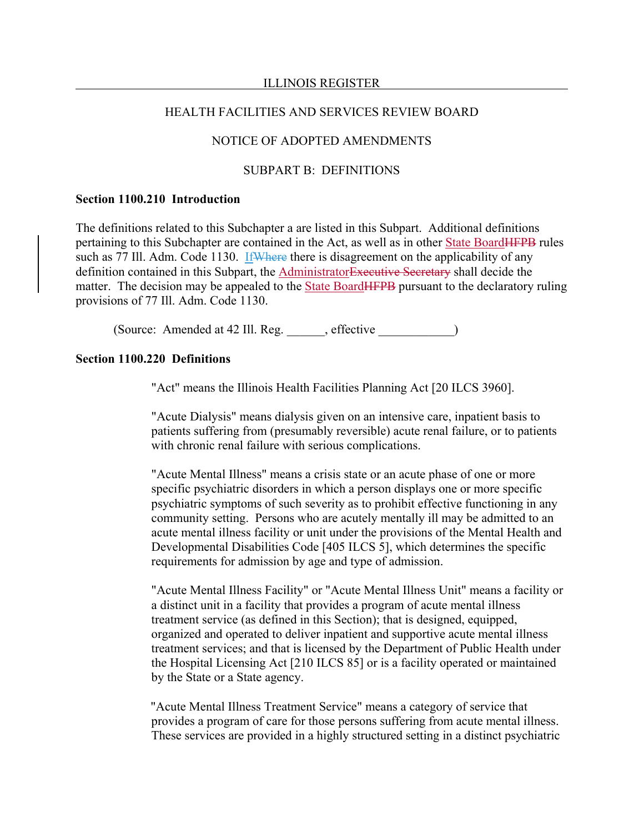#### ILLINOIS REGISTER

#### HEALTH FACILITIES AND SERVICES REVIEW BOARD

## NOTICE OF ADOPTED AMENDMENTS

#### SUBPART B: DEFINITIONS

#### **Section 1100.210 Introduction**

The definitions related to this Subchapter a are listed in this Subpart. Additional definitions pertaining to this Subchapter are contained in the Act, as well as in other State BoardHFPB rules such as 77 Ill. Adm. Code 1130. If Where there is disagreement on the applicability of any definition contained in this Subpart, the AdministratorExecutive Secretary shall decide the matter. The decision may be appealed to the State Board **HFPB** pursuant to the declaratory ruling provisions of 77 Ill. Adm. Code 1130.

(Source: Amended at 42 Ill. Reg. \_\_\_\_\_\_, effective \_\_\_\_\_\_\_\_\_\_\_\_)

#### **Section 1100.220 Definitions**

"Act" means the Illinois Health Facilities Planning Act [20 ILCS 3960].

"Acute Dialysis" means dialysis given on an intensive care, inpatient basis to patients suffering from (presumably reversible) acute renal failure, or to patients with chronic renal failure with serious complications.

"Acute Mental Illness" means a crisis state or an acute phase of one or more specific psychiatric disorders in which a person displays one or more specific psychiatric symptoms of such severity as to prohibit effective functioning in any community setting. Persons who are acutely mentally ill may be admitted to an acute mental illness facility or unit under the provisions of the Mental Health and Developmental Disabilities Code [405 ILCS 5], which determines the specific requirements for admission by age and type of admission.

"Acute Mental Illness Facility" or "Acute Mental Illness Unit" means a facility or a distinct unit in a facility that provides a program of acute mental illness treatment service (as defined in this Section); that is designed, equipped, organized and operated to deliver inpatient and supportive acute mental illness treatment services; and that is licensed by the Department of Public Health under the Hospital Licensing Act [210 ILCS 85] or is a facility operated or maintained by the State or a State agency.

"Acute Mental Illness Treatment Service" means a category of service that provides a program of care for those persons suffering from acute mental illness. These services are provided in a highly structured setting in a distinct psychiatric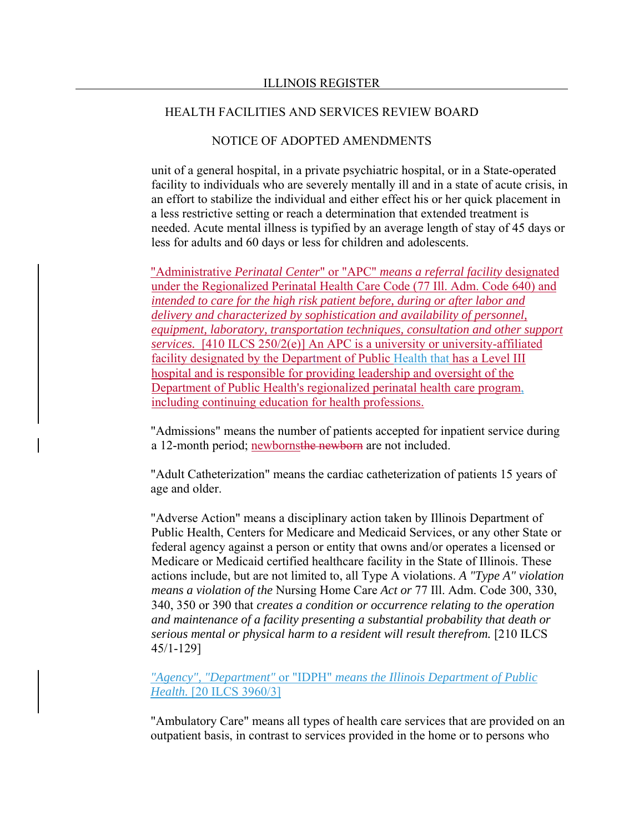## NOTICE OF ADOPTED AMENDMENTS

unit of a general hospital, in a private psychiatric hospital, or in a State-operated facility to individuals who are severely mentally ill and in a state of acute crisis, in an effort to stabilize the individual and either effect his or her quick placement in a less restrictive setting or reach a determination that extended treatment is needed. Acute mental illness is typified by an average length of stay of 45 days or less for adults and 60 days or less for children and adolescents.

"Administrative *Perinatal Center*" or "APC" *means a referral facility* designated under the Regionalized Perinatal Health Care Code (77 Ill. Adm. Code 640) and *intended to care for the high risk patient before, during or after labor and delivery and characterized by sophistication and availability of personnel, equipment, laboratory, transportation techniques, consultation and other support services.* [410 ILCS 250/2(e)] An APC is a university or university-affiliated facility designated by the Department of Public Health that has a Level III hospital and is responsible for providing leadership and oversight of the Department of Public Health's regionalized perinatal health care program, including continuing education for health professions.

"Admissions" means the number of patients accepted for inpatient service during a 12-month period; newbornsthe newborn are not included.

"Adult Catheterization" means the cardiac catheterization of patients 15 years of age and older.

"Adverse Action" means a disciplinary action taken by Illinois Department of Public Health, Centers for Medicare and Medicaid Services, or any other State or federal agency against a person or entity that owns and/or operates a licensed or Medicare or Medicaid certified healthcare facility in the State of Illinois. These actions include, but are not limited to, all Type A violations. *A "Type A" violation means a violation of the* Nursing Home Care *Act or* 77 Ill. Adm. Code 300, 330, 340, 350 or 390 that *creates a condition or occurrence relating to the operation and maintenance of a facility presenting a substantial probability that death or serious mental or physical harm to a resident will result therefrom.* [210 ILCS 45/1-129]

*"Agency", "Department"* or "IDPH" *means the Illinois Department of Public Health.* [20 ILCS 3960/3]

"Ambulatory Care" means all types of health care services that are provided on an outpatient basis, in contrast to services provided in the home or to persons who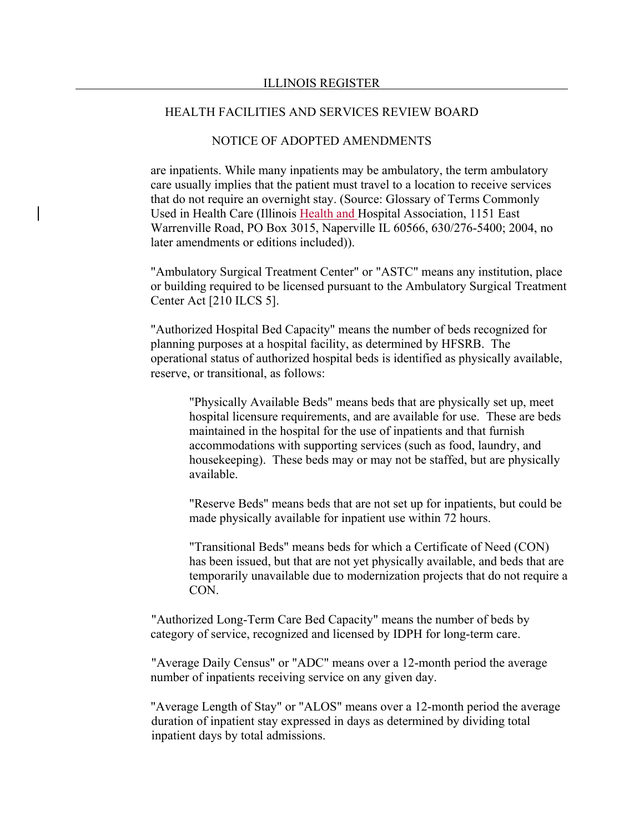## NOTICE OF ADOPTED AMENDMENTS

are inpatients. While many inpatients may be ambulatory, the term ambulatory care usually implies that the patient must travel to a location to receive services that do not require an overnight stay. (Source: Glossary of Terms Commonly Used in Health Care (Illinois Health and Hospital Association, 1151 East Warrenville Road, PO Box 3015, Naperville IL 60566, 630/276-5400; 2004, no later amendments or editions included)).

"Ambulatory Surgical Treatment Center" or "ASTC" means any institution, place or building required to be licensed pursuant to the Ambulatory Surgical Treatment Center Act [210 ILCS 5].

"Authorized Hospital Bed Capacity" means the number of beds recognized for planning purposes at a hospital facility, as determined by HFSRB. The operational status of authorized hospital beds is identified as physically available, reserve, or transitional, as follows:

"Physically Available Beds" means beds that are physically set up, meet hospital licensure requirements, and are available for use. These are beds maintained in the hospital for the use of inpatients and that furnish accommodations with supporting services (such as food, laundry, and housekeeping). These beds may or may not be staffed, but are physically available.

"Reserve Beds" means beds that are not set up for inpatients, but could be made physically available for inpatient use within 72 hours.

"Transitional Beds" means beds for which a Certificate of Need (CON) has been issued, but that are not yet physically available, and beds that are temporarily unavailable due to modernization projects that do not require a CON.

"Authorized Long-Term Care Bed Capacity" means the number of beds by category of service, recognized and licensed by IDPH for long-term care.

"Average Daily Census" or "ADC" means over a 12-month period the average number of inpatients receiving service on any given day.

"Average Length of Stay" or "ALOS" means over a 12-month period the average duration of inpatient stay expressed in days as determined by dividing total inpatient days by total admissions.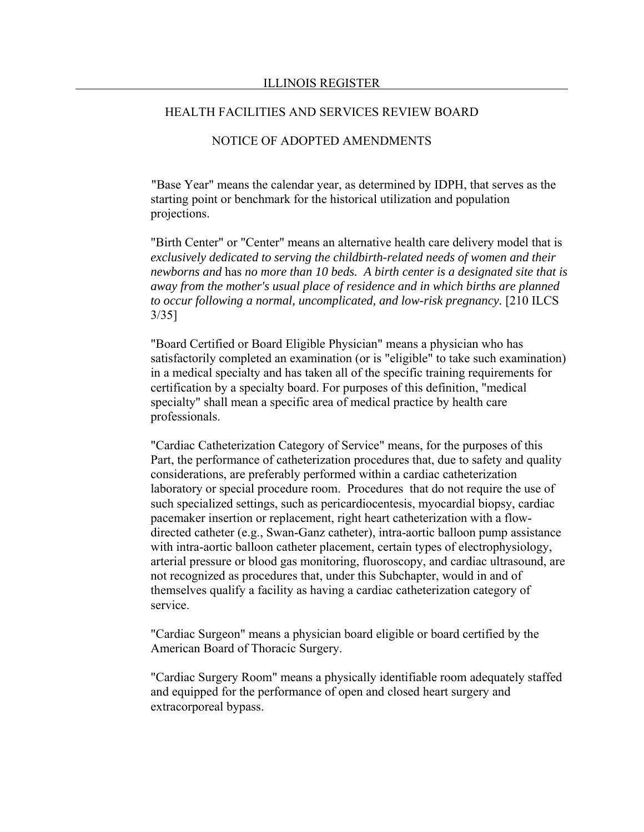## NOTICE OF ADOPTED AMENDMENTS

"Base Year" means the calendar year, as determined by IDPH, that serves as the starting point or benchmark for the historical utilization and population projections.

"Birth Center" or "Center" means an alternative health care delivery model that is *exclusively dedicated to serving the childbirth-related needs of women and their newborns and* has *no more than 10 beds. A birth center is a designated site that is away from the mother's usual place of residence and in which births are planned to occur following a normal, uncomplicated, and low-risk pregnancy.* [210 ILCS 3/35]

"Board Certified or Board Eligible Physician" means a physician who has satisfactorily completed an examination (or is "eligible" to take such examination) in a medical specialty and has taken all of the specific training requirements for certification by a specialty board. For purposes of this definition, "medical specialty" shall mean a specific area of medical practice by health care professionals.

"Cardiac Catheterization Category of Service" means, for the purposes of this Part, the performance of catheterization procedures that, due to safety and quality considerations, are preferably performed within a cardiac catheterization laboratory or special procedure room. Procedures that do not require the use of such specialized settings, such as pericardiocentesis, myocardial biopsy, cardiac pacemaker insertion or replacement, right heart catheterization with a flowdirected catheter (e.g., Swan-Ganz catheter), intra-aortic balloon pump assistance with intra-aortic balloon catheter placement, certain types of electrophysiology, arterial pressure or blood gas monitoring, fluoroscopy, and cardiac ultrasound, are not recognized as procedures that, under this Subchapter, would in and of themselves qualify a facility as having a cardiac catheterization category of service.

"Cardiac Surgeon" means a physician board eligible or board certified by the American Board of Thoracic Surgery.

"Cardiac Surgery Room" means a physically identifiable room adequately staffed and equipped for the performance of open and closed heart surgery and extracorporeal bypass.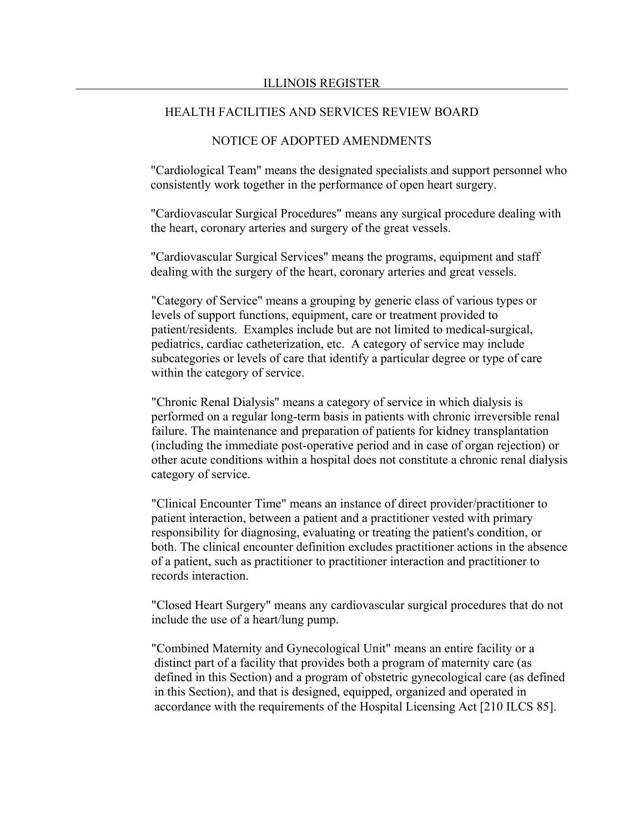## NOTICE OF ADOPTED AMENDMENTS

"Cardiological Team" means the designated specialists and support personnel who consistently work together in the performance of open heart surgery.

"Cardiovascular Surgical Procedures" means any surgical procedure dealing with the heart, coronary arteries and surgery of the great vessels.

"Cardiovascular Surgical Services" means the programs, equipment and staff dealing with the surgery of the heart, coronary arteries and great vessels.

"Category of Service" means a grouping by generic class of various types or levels of support functions, equipment, care or treatment provided to patient/residents. Examples include but are not limited to medical-surgical, pediatrics, cardiac catheterization, etc. A category of service may include subcategories or levels of care that identify a particular degree or type of care within the category of service.

"Chronic Renal Dialysis" means a category of service in which dialysis is performed on a regular long-term basis in patients with chronic irreversible renal failure. The maintenance and preparation of patients for kidney transplantation (including the immediate post-operative period and in case of organ rejection) or other acute conditions within a hospital does not constitute a chronic renal dialysis category of service.

"Clinical Encounter Time" means an instance of direct provider/practitioner to patient interaction, between a patient and a practitioner vested with primary responsibility for diagnosing, evaluating or treating the patient's condition, or both. The clinical encounter definition excludes practitioner actions in the absence of a patient, such as practitioner to practitioner interaction and practitioner to records interaction.

"Closed Heart Surgery" means any cardiovascular surgical procedures that do not include the use of a heart/lung pump.

"Combined Maternity and Gynecological Unit" means an entire facility or a distinct part of a facility that provides both a program of maternity care (as defined in this Section) and a program of obstetric gynecological care (as defined in this Section), and that is designed, equipped, organized and operated in accordance with the requirements of the Hospital Licensing Act [210 ILCS 85].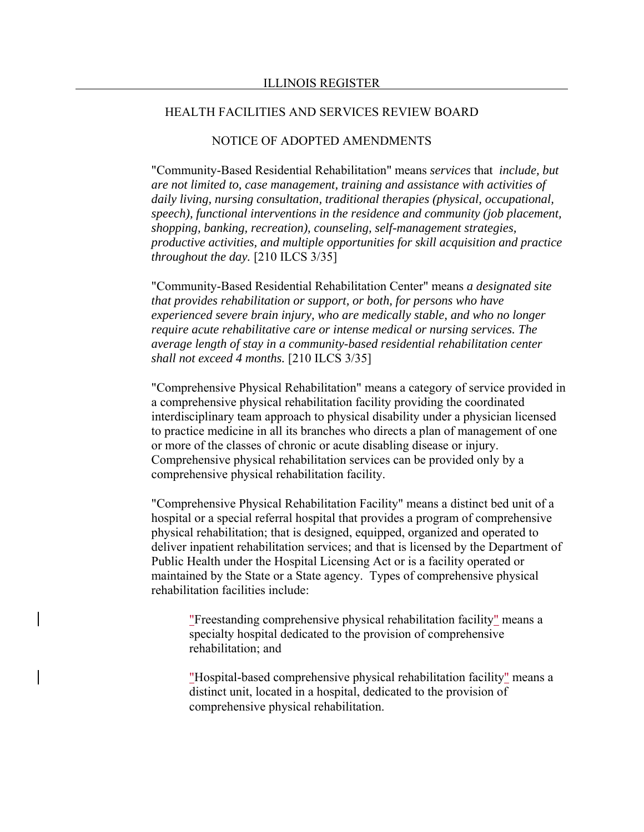## NOTICE OF ADOPTED AMENDMENTS

"Community-Based Residential Rehabilitation" means *services* that *include, but are not limited to, case management, training and assistance with activities of daily living, nursing consultation, traditional therapies (physical, occupational, speech), functional interventions in the residence and community (job placement, shopping, banking, recreation), counseling, self-management strategies, productive activities, and multiple opportunities for skill acquisition and practice throughout the day.* [210 ILCS 3/35]

"Community-Based Residential Rehabilitation Center" means *a designated site that provides rehabilitation or support, or both, for persons who have experienced severe brain injury, who are medically stable, and who no longer require acute rehabilitative care or intense medical or nursing services. The average length of stay in a community-based residential rehabilitation center shall not exceed 4 months.* [210 ILCS 3/35]

"Comprehensive Physical Rehabilitation" means a category of service provided in a comprehensive physical rehabilitation facility providing the coordinated interdisciplinary team approach to physical disability under a physician licensed to practice medicine in all its branches who directs a plan of management of one or more of the classes of chronic or acute disabling disease or injury. Comprehensive physical rehabilitation services can be provided only by a comprehensive physical rehabilitation facility.

"Comprehensive Physical Rehabilitation Facility" means a distinct bed unit of a hospital or a special referral hospital that provides a program of comprehensive physical rehabilitation; that is designed, equipped, organized and operated to deliver inpatient rehabilitation services; and that is licensed by the Department of Public Health under the Hospital Licensing Act or is a facility operated or maintained by the State or a State agency. Types of comprehensive physical rehabilitation facilities include:

"Freestanding comprehensive physical rehabilitation facility" means a specialty hospital dedicated to the provision of comprehensive rehabilitation; and

"Hospital-based comprehensive physical rehabilitation facility" means a distinct unit, located in a hospital, dedicated to the provision of comprehensive physical rehabilitation.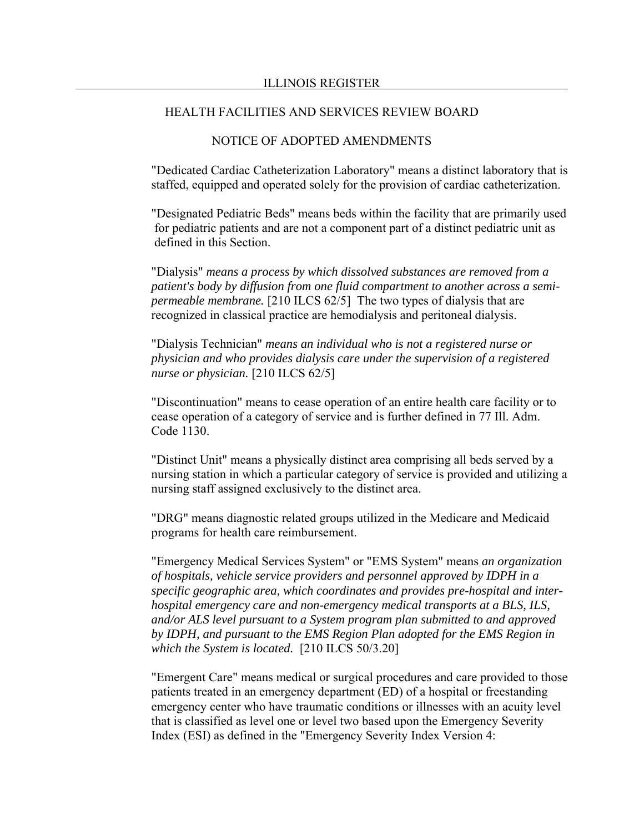## NOTICE OF ADOPTED AMENDMENTS

"Dedicated Cardiac Catheterization Laboratory" means a distinct laboratory that is staffed, equipped and operated solely for the provision of cardiac catheterization.

"Designated Pediatric Beds" means beds within the facility that are primarily used for pediatric patients and are not a component part of a distinct pediatric unit as defined in this Section.

"Dialysis" *means a process by which dissolved substances are removed from a patient's body by diffusion from one fluid compartment to another across a semipermeable membrane.* [210 ILCS 62/5] The two types of dialysis that are recognized in classical practice are hemodialysis and peritoneal dialysis.

"Dialysis Technician" *means an individual who is not a registered nurse or physician and who provides dialysis care under the supervision of a registered nurse or physician.* [210 ILCS 62/5]

"Discontinuation" means to cease operation of an entire health care facility or to cease operation of a category of service and is further defined in 77 Ill. Adm. Code 1130.

"Distinct Unit" means a physically distinct area comprising all beds served by a nursing station in which a particular category of service is provided and utilizing a nursing staff assigned exclusively to the distinct area.

"DRG" means diagnostic related groups utilized in the Medicare and Medicaid programs for health care reimbursement.

"Emergency Medical Services System" or "EMS System" means *an organization of hospitals, vehicle service providers and personnel approved by IDPH in a specific geographic area, which coordinates and provides pre-hospital and interhospital emergency care and non-emergency medical transports at a BLS, ILS, and/or ALS level pursuant to a System program plan submitted to and approved by IDPH, and pursuant to the EMS Region Plan adopted for the EMS Region in which the System is located.* [210 ILCS 50/3.20]

"Emergent Care" means medical or surgical procedures and care provided to those patients treated in an emergency department (ED) of a hospital or freestanding emergency center who have traumatic conditions or illnesses with an acuity level that is classified as level one or level two based upon the Emergency Severity Index (ESI) as defined in the "Emergency Severity Index Version 4: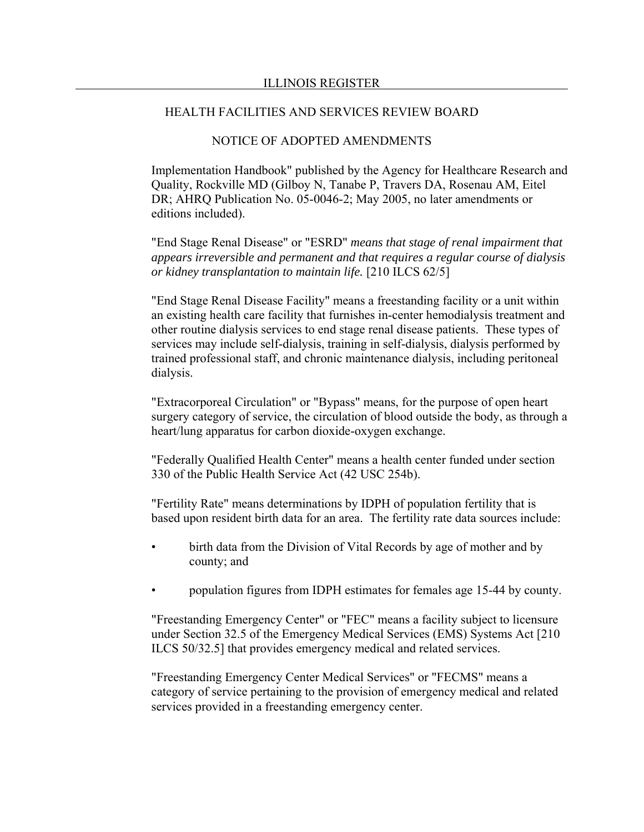#### NOTICE OF ADOPTED AMENDMENTS

Implementation Handbook" published by the Agency for Healthcare Research and Quality, Rockville MD (Gilboy N, Tanabe P, Travers DA, Rosenau AM, Eitel DR; AHRQ Publication No. 05-0046-2; May 2005, no later amendments or editions included).

"End Stage Renal Disease" or "ESRD" *means that stage of renal impairment that appears irreversible and permanent and that requires a regular course of dialysis or kidney transplantation to maintain life.* [210 ILCS 62/5]

"End Stage Renal Disease Facility" means a freestanding facility or a unit within an existing health care facility that furnishes in-center hemodialysis treatment and other routine dialysis services to end stage renal disease patients. These types of services may include self-dialysis, training in self-dialysis, dialysis performed by trained professional staff, and chronic maintenance dialysis, including peritoneal dialysis.

"Extracorporeal Circulation" or "Bypass" means, for the purpose of open heart surgery category of service, the circulation of blood outside the body, as through a heart/lung apparatus for carbon dioxide-oxygen exchange.

"Federally Qualified Health Center" means a health center funded under section 330 of the Public Health Service Act (42 USC 254b).

"Fertility Rate" means determinations by IDPH of population fertility that is based upon resident birth data for an area. The fertility rate data sources include:

- birth data from the Division of Vital Records by age of mother and by county; and
- population figures from IDPH estimates for females age 15-44 by county.

"Freestanding Emergency Center" or "FEC" means a facility subject to licensure under Section 32.5 of the Emergency Medical Services (EMS) Systems Act [210 ILCS 50/32.5] that provides emergency medical and related services.

"Freestanding Emergency Center Medical Services" or "FECMS" means a category of service pertaining to the provision of emergency medical and related services provided in a freestanding emergency center.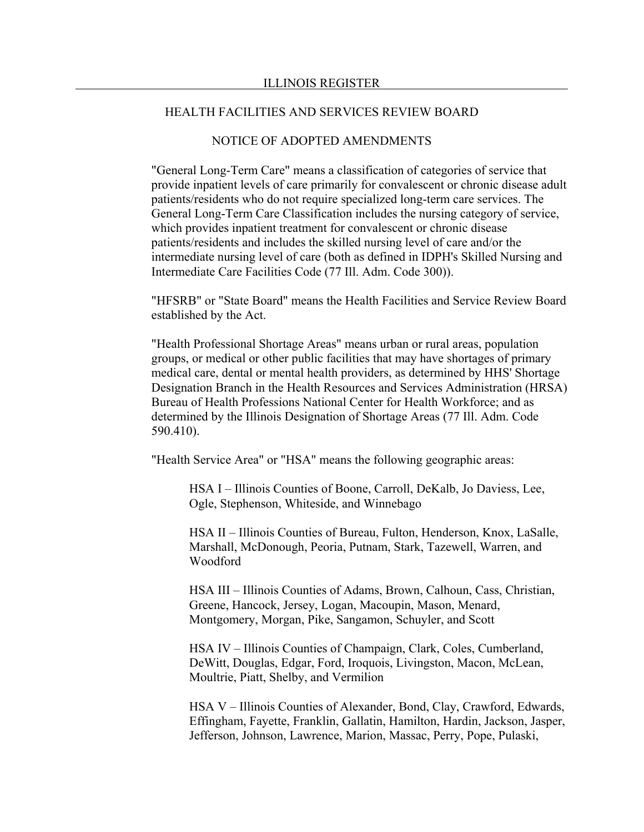## NOTICE OF ADOPTED AMENDMENTS

"General Long-Term Care" means a classification of categories of service that provide inpatient levels of care primarily for convalescent or chronic disease adult patients/residents who do not require specialized long-term care services. The General Long-Term Care Classification includes the nursing category of service, which provides inpatient treatment for convalescent or chronic disease patients/residents and includes the skilled nursing level of care and/or the intermediate nursing level of care (both as defined in IDPH's Skilled Nursing and Intermediate Care Facilities Code (77 Ill. Adm. Code 300)).

"HFSRB" or "State Board" means the Health Facilities and Service Review Board established by the Act.

"Health Professional Shortage Areas" means urban or rural areas, population groups, or medical or other public facilities that may have shortages of primary medical care, dental or mental health providers, as determined by HHS' Shortage Designation Branch in the Health Resources and Services Administration (HRSA) Bureau of Health Professions National Center for Health Workforce; and as determined by the Illinois Designation of Shortage Areas (77 Ill. Adm. Code 590.410).

"Health Service Area" or "HSA" means the following geographic areas:

HSA I – Illinois Counties of Boone, Carroll, DeKalb, Jo Daviess, Lee, Ogle, Stephenson, Whiteside, and Winnebago

HSA II – Illinois Counties of Bureau, Fulton, Henderson, Knox, LaSalle, Marshall, McDonough, Peoria, Putnam, Stark, Tazewell, Warren, and Woodford

HSA III – Illinois Counties of Adams, Brown, Calhoun, Cass, Christian, Greene, Hancock, Jersey, Logan, Macoupin, Mason, Menard, Montgomery, Morgan, Pike, Sangamon, Schuyler, and Scott

HSA IV – Illinois Counties of Champaign, Clark, Coles, Cumberland, DeWitt, Douglas, Edgar, Ford, Iroquois, Livingston, Macon, McLean, Moultrie, Piatt, Shelby, and Vermilion

HSA V – Illinois Counties of Alexander, Bond, Clay, Crawford, Edwards, Effingham, Fayette, Franklin, Gallatin, Hamilton, Hardin, Jackson, Jasper, Jefferson, Johnson, Lawrence, Marion, Massac, Perry, Pope, Pulaski,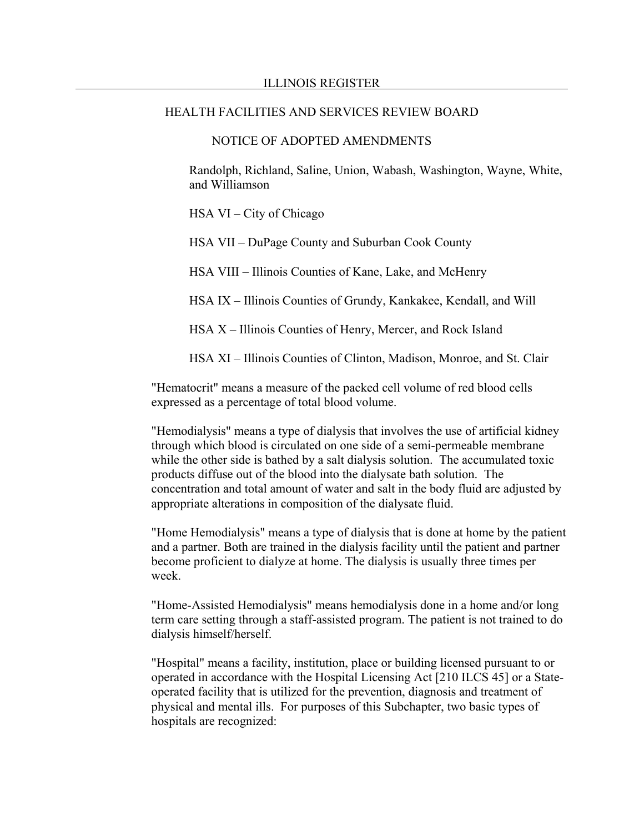#### NOTICE OF ADOPTED AMENDMENTS

Randolph, Richland, Saline, Union, Wabash, Washington, Wayne, White, and Williamson

HSA VI – City of Chicago

HSA VII – DuPage County and Suburban Cook County

HSA VIII – Illinois Counties of Kane, Lake, and McHenry

HSA IX – Illinois Counties of Grundy, Kankakee, Kendall, and Will

HSA X – Illinois Counties of Henry, Mercer, and Rock Island

HSA XI – Illinois Counties of Clinton, Madison, Monroe, and St. Clair

"Hematocrit" means a measure of the packed cell volume of red blood cells expressed as a percentage of total blood volume.

"Hemodialysis" means a type of dialysis that involves the use of artificial kidney through which blood is circulated on one side of a semi-permeable membrane while the other side is bathed by a salt dialysis solution. The accumulated toxic products diffuse out of the blood into the dialysate bath solution. The concentration and total amount of water and salt in the body fluid are adjusted by appropriate alterations in composition of the dialysate fluid.

"Home Hemodialysis" means a type of dialysis that is done at home by the patient and a partner. Both are trained in the dialysis facility until the patient and partner become proficient to dialyze at home. The dialysis is usually three times per week.

"Home-Assisted Hemodialysis" means hemodialysis done in a home and/or long term care setting through a staff-assisted program. The patient is not trained to do dialysis himself/herself.

"Hospital" means a facility, institution, place or building licensed pursuant to or operated in accordance with the Hospital Licensing Act [210 ILCS 45] or a Stateoperated facility that is utilized for the prevention, diagnosis and treatment of physical and mental ills. For purposes of this Subchapter, two basic types of hospitals are recognized: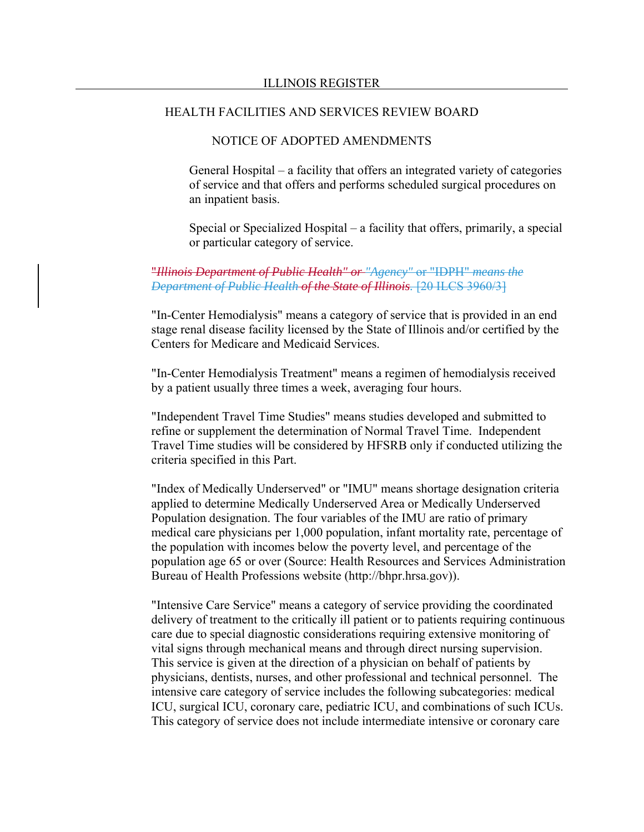## NOTICE OF ADOPTED AMENDMENTS

General Hospital – a facility that offers an integrated variety of categories of service and that offers and performs scheduled surgical procedures on an inpatient basis.

Special or Specialized Hospital – a facility that offers, primarily, a special or particular category of service.

## "*Illinois Department of Public Health" or "Agency"* or "IDPH" *means the Department of Public Health of the State of Illinois.* [20 ILCS 3960/3]

"In-Center Hemodialysis" means a category of service that is provided in an end stage renal disease facility licensed by the State of Illinois and/or certified by the Centers for Medicare and Medicaid Services.

"In-Center Hemodialysis Treatment" means a regimen of hemodialysis received by a patient usually three times a week, averaging four hours.

"Independent Travel Time Studies" means studies developed and submitted to refine or supplement the determination of Normal Travel Time. Independent Travel Time studies will be considered by HFSRB only if conducted utilizing the criteria specified in this Part.

"Index of Medically Underserved" or "IMU" means shortage designation criteria applied to determine Medically Underserved Area or Medically Underserved Population designation. The four variables of the IMU are ratio of primary medical care physicians per 1,000 population, infant mortality rate, percentage of the population with incomes below the poverty level, and percentage of the population age 65 or over (Source: Health Resources and Services Administration Bureau of Health Professions website (http://bhpr.hrsa.gov)).

"Intensive Care Service" means a category of service providing the coordinated delivery of treatment to the critically ill patient or to patients requiring continuous care due to special diagnostic considerations requiring extensive monitoring of vital signs through mechanical means and through direct nursing supervision. This service is given at the direction of a physician on behalf of patients by physicians, dentists, nurses, and other professional and technical personnel. The intensive care category of service includes the following subcategories: medical ICU, surgical ICU, coronary care, pediatric ICU, and combinations of such ICUs. This category of service does not include intermediate intensive or coronary care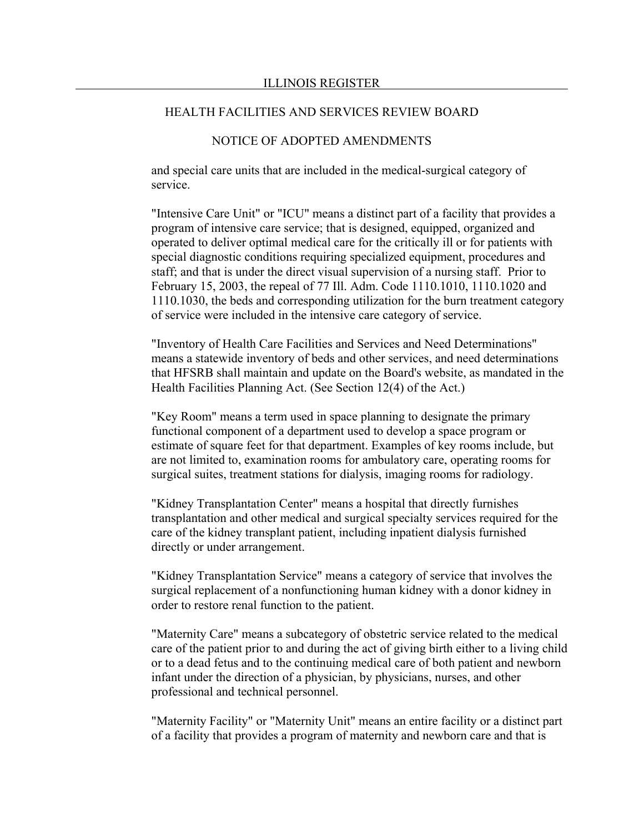## NOTICE OF ADOPTED AMENDMENTS

and special care units that are included in the medical-surgical category of service.

"Intensive Care Unit" or "ICU" means a distinct part of a facility that provides a program of intensive care service; that is designed, equipped, organized and operated to deliver optimal medical care for the critically ill or for patients with special diagnostic conditions requiring specialized equipment, procedures and staff; and that is under the direct visual supervision of a nursing staff. Prior to February 15, 2003, the repeal of 77 Ill. Adm. Code 1110.1010, 1110.1020 and 1110.1030, the beds and corresponding utilization for the burn treatment category of service were included in the intensive care category of service.

"Inventory of Health Care Facilities and Services and Need Determinations" means a statewide inventory of beds and other services, and need determinations that HFSRB shall maintain and update on the Board's website, as mandated in the Health Facilities Planning Act. (See Section 12(4) of the Act.)

"Key Room" means a term used in space planning to designate the primary functional component of a department used to develop a space program or estimate of square feet for that department. Examples of key rooms include, but are not limited to, examination rooms for ambulatory care, operating rooms for surgical suites, treatment stations for dialysis, imaging rooms for radiology.

"Kidney Transplantation Center" means a hospital that directly furnishes transplantation and other medical and surgical specialty services required for the care of the kidney transplant patient, including inpatient dialysis furnished directly or under arrangement.

"Kidney Transplantation Service" means a category of service that involves the surgical replacement of a nonfunctioning human kidney with a donor kidney in order to restore renal function to the patient.

"Maternity Care" means a subcategory of obstetric service related to the medical care of the patient prior to and during the act of giving birth either to a living child or to a dead fetus and to the continuing medical care of both patient and newborn infant under the direction of a physician, by physicians, nurses, and other professional and technical personnel.

"Maternity Facility" or "Maternity Unit" means an entire facility or a distinct part of a facility that provides a program of maternity and newborn care and that is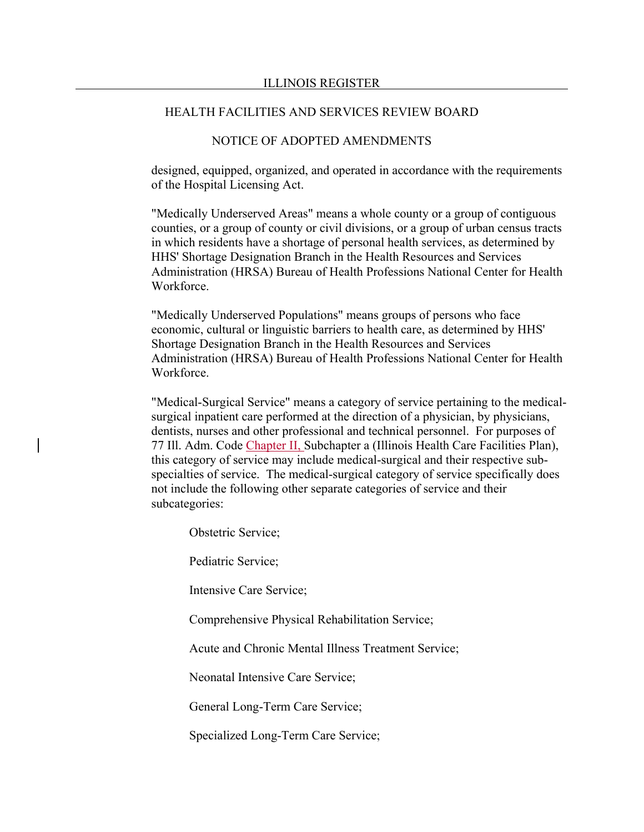## NOTICE OF ADOPTED AMENDMENTS

designed, equipped, organized, and operated in accordance with the requirements of the Hospital Licensing Act.

"Medically Underserved Areas" means a whole county or a group of contiguous counties, or a group of county or civil divisions, or a group of urban census tracts in which residents have a shortage of personal health services, as determined by HHS' Shortage Designation Branch in the Health Resources and Services Administration (HRSA) Bureau of Health Professions National Center for Health Workforce.

"Medically Underserved Populations" means groups of persons who face economic, cultural or linguistic barriers to health care, as determined by HHS' Shortage Designation Branch in the Health Resources and Services Administration (HRSA) Bureau of Health Professions National Center for Health Workforce.

"Medical-Surgical Service" means a category of service pertaining to the medicalsurgical inpatient care performed at the direction of a physician, by physicians, dentists, nurses and other professional and technical personnel. For purposes of 77 Ill. Adm. Code Chapter II, Subchapter a (Illinois Health Care Facilities Plan), this category of service may include medical-surgical and their respective subspecialties of service. The medical-surgical category of service specifically does not include the following other separate categories of service and their subcategories:

Obstetric Service;

Pediatric Service;

Intensive Care Service;

Comprehensive Physical Rehabilitation Service;

Acute and Chronic Mental Illness Treatment Service;

Neonatal Intensive Care Service;

General Long-Term Care Service;

Specialized Long-Term Care Service;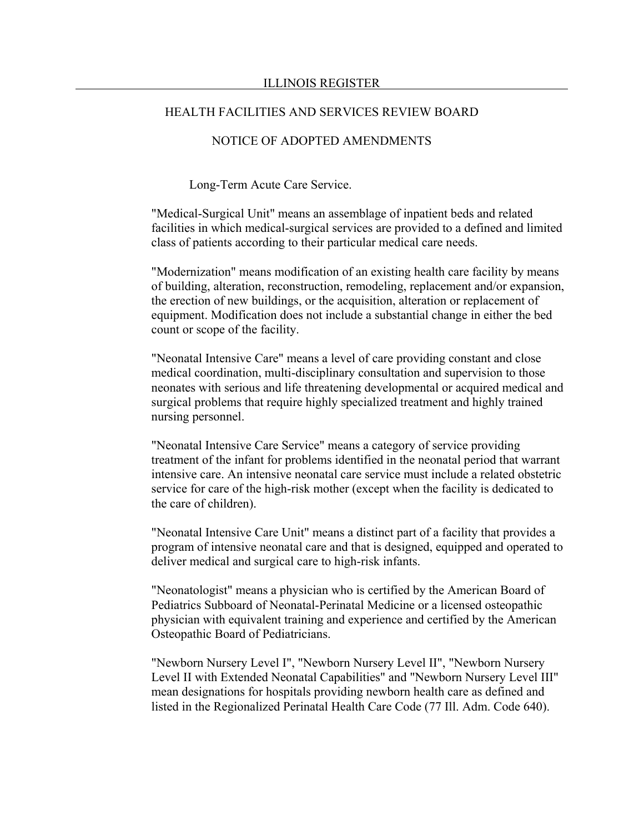## NOTICE OF ADOPTED AMENDMENTS

Long-Term Acute Care Service.

"Medical-Surgical Unit" means an assemblage of inpatient beds and related facilities in which medical-surgical services are provided to a defined and limited class of patients according to their particular medical care needs.

"Modernization" means modification of an existing health care facility by means of building, alteration, reconstruction, remodeling, replacement and/or expansion, the erection of new buildings, or the acquisition, alteration or replacement of equipment. Modification does not include a substantial change in either the bed count or scope of the facility.

"Neonatal Intensive Care" means a level of care providing constant and close medical coordination, multi-disciplinary consultation and supervision to those neonates with serious and life threatening developmental or acquired medical and surgical problems that require highly specialized treatment and highly trained nursing personnel.

"Neonatal Intensive Care Service" means a category of service providing treatment of the infant for problems identified in the neonatal period that warrant intensive care. An intensive neonatal care service must include a related obstetric service for care of the high-risk mother (except when the facility is dedicated to the care of children).

"Neonatal Intensive Care Unit" means a distinct part of a facility that provides a program of intensive neonatal care and that is designed, equipped and operated to deliver medical and surgical care to high-risk infants.

"Neonatologist" means a physician who is certified by the American Board of Pediatrics Subboard of Neonatal-Perinatal Medicine or a licensed osteopathic physician with equivalent training and experience and certified by the American Osteopathic Board of Pediatricians.

"Newborn Nursery Level I", "Newborn Nursery Level II", "Newborn Nursery Level II with Extended Neonatal Capabilities" and "Newborn Nursery Level III" mean designations for hospitals providing newborn health care as defined and listed in the Regionalized Perinatal Health Care Code (77 Ill. Adm. Code 640).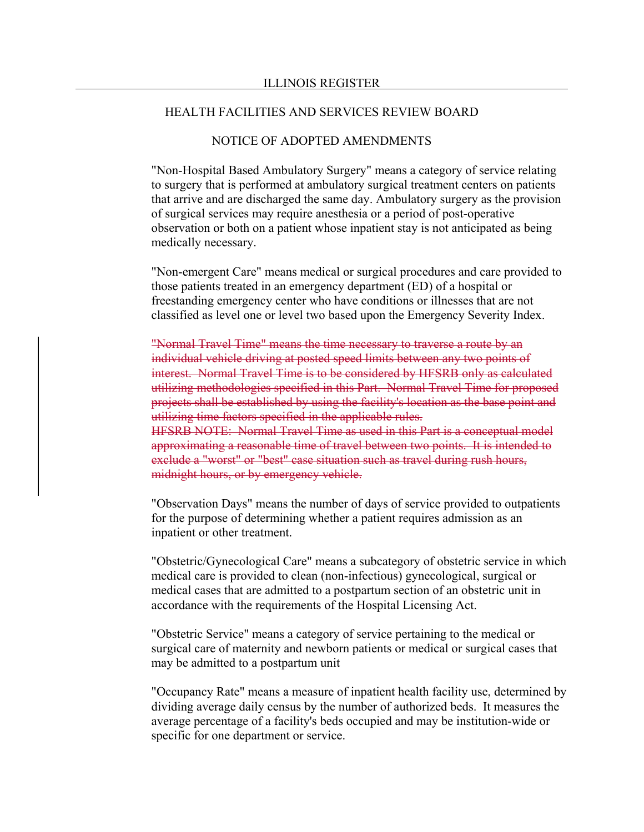## NOTICE OF ADOPTED AMENDMENTS

"Non-Hospital Based Ambulatory Surgery" means a category of service relating to surgery that is performed at ambulatory surgical treatment centers on patients that arrive and are discharged the same day. Ambulatory surgery as the provision of surgical services may require anesthesia or a period of post-operative observation or both on a patient whose inpatient stay is not anticipated as being medically necessary.

"Non-emergent Care" means medical or surgical procedures and care provided to those patients treated in an emergency department (ED) of a hospital or freestanding emergency center who have conditions or illnesses that are not classified as level one or level two based upon the Emergency Severity Index.

"Normal Travel Time" means the time necessary to traverse a route by an individual vehicle driving at posted speed limits between any two points of interest. Normal Travel Time is to be considered by HFSRB only as calculated utilizing methodologies specified in this Part. Normal Travel Time for proposed projects shall be established by using the facility's location as the base point and utilizing time factors specified in the applicable rules. HFSRB NOTE: Normal Travel Time as used in this Part is a conceptual model approximating a reasonable time of travel between two points. It is intended to exclude a "worst" or "best" case situation such as travel during rush hours,

midnight hours, or by emergency vehicle.

"Observation Days" means the number of days of service provided to outpatients for the purpose of determining whether a patient requires admission as an inpatient or other treatment.

"Obstetric/Gynecological Care" means a subcategory of obstetric service in which medical care is provided to clean (non-infectious) gynecological, surgical or medical cases that are admitted to a postpartum section of an obstetric unit in accordance with the requirements of the Hospital Licensing Act.

"Obstetric Service" means a category of service pertaining to the medical or surgical care of maternity and newborn patients or medical or surgical cases that may be admitted to a postpartum unit

"Occupancy Rate" means a measure of inpatient health facility use, determined by dividing average daily census by the number of authorized beds. It measures the average percentage of a facility's beds occupied and may be institution-wide or specific for one department or service.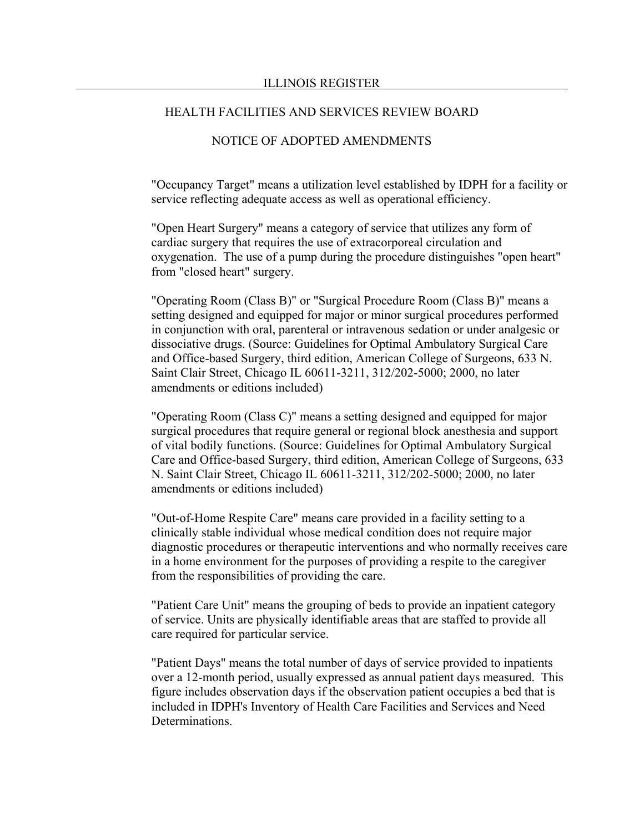## NOTICE OF ADOPTED AMENDMENTS

"Occupancy Target" means a utilization level established by IDPH for a facility or service reflecting adequate access as well as operational efficiency.

"Open Heart Surgery" means a category of service that utilizes any form of cardiac surgery that requires the use of extracorporeal circulation and oxygenation. The use of a pump during the procedure distinguishes "open heart" from "closed heart" surgery.

"Operating Room (Class B)" or "Surgical Procedure Room (Class B)" means a setting designed and equipped for major or minor surgical procedures performed in conjunction with oral, parenteral or intravenous sedation or under analgesic or dissociative drugs. (Source: Guidelines for Optimal Ambulatory Surgical Care and Office-based Surgery, third edition, American College of Surgeons, 633 N. Saint Clair Street, Chicago IL 60611-3211, 312/202-5000; 2000, no later amendments or editions included)

"Operating Room (Class C)" means a setting designed and equipped for major surgical procedures that require general or regional block anesthesia and support of vital bodily functions. (Source: Guidelines for Optimal Ambulatory Surgical Care and Office-based Surgery, third edition, American College of Surgeons, 633 N. Saint Clair Street, Chicago IL 60611-3211, 312/202-5000; 2000, no later amendments or editions included)

"Out-of-Home Respite Care" means care provided in a facility setting to a clinically stable individual whose medical condition does not require major diagnostic procedures or therapeutic interventions and who normally receives care in a home environment for the purposes of providing a respite to the caregiver from the responsibilities of providing the care.

"Patient Care Unit" means the grouping of beds to provide an inpatient category of service. Units are physically identifiable areas that are staffed to provide all care required for particular service.

"Patient Days" means the total number of days of service provided to inpatients over a 12-month period, usually expressed as annual patient days measured. This figure includes observation days if the observation patient occupies a bed that is included in IDPH's Inventory of Health Care Facilities and Services and Need Determinations.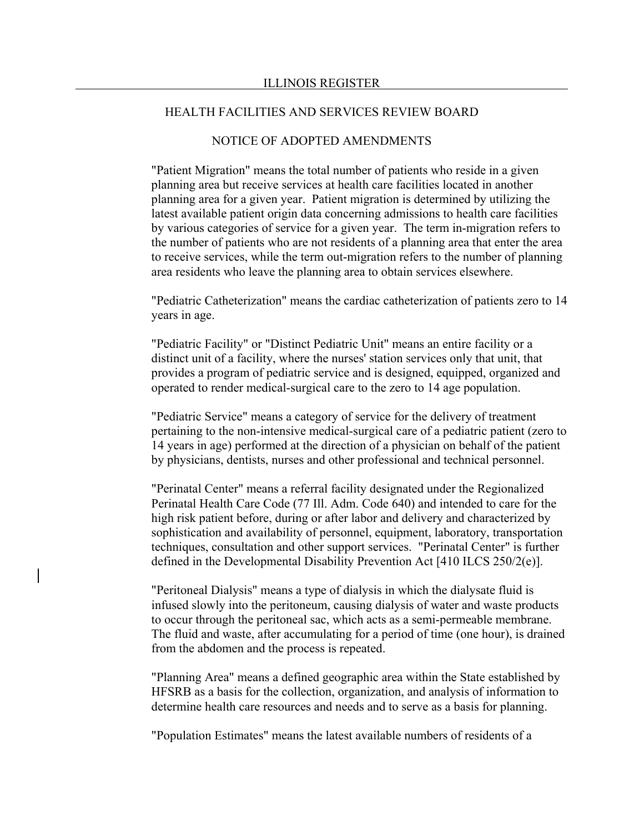## NOTICE OF ADOPTED AMENDMENTS

"Patient Migration" means the total number of patients who reside in a given planning area but receive services at health care facilities located in another planning area for a given year. Patient migration is determined by utilizing the latest available patient origin data concerning admissions to health care facilities by various categories of service for a given year. The term in-migration refers to the number of patients who are not residents of a planning area that enter the area to receive services, while the term out-migration refers to the number of planning area residents who leave the planning area to obtain services elsewhere.

"Pediatric Catheterization" means the cardiac catheterization of patients zero to 14 years in age.

"Pediatric Facility" or "Distinct Pediatric Unit" means an entire facility or a distinct unit of a facility, where the nurses' station services only that unit, that provides a program of pediatric service and is designed, equipped, organized and operated to render medical-surgical care to the zero to 14 age population.

"Pediatric Service" means a category of service for the delivery of treatment pertaining to the non-intensive medical-surgical care of a pediatric patient (zero to 14 years in age) performed at the direction of a physician on behalf of the patient by physicians, dentists, nurses and other professional and technical personnel.

"Perinatal Center" means a referral facility designated under the Regionalized Perinatal Health Care Code (77 Ill. Adm. Code 640) and intended to care for the high risk patient before, during or after labor and delivery and characterized by sophistication and availability of personnel, equipment, laboratory, transportation techniques, consultation and other support services. "Perinatal Center" is further defined in the Developmental Disability Prevention Act [410 ILCS 250/2(e)].

"Peritoneal Dialysis" means a type of dialysis in which the dialysate fluid is infused slowly into the peritoneum, causing dialysis of water and waste products to occur through the peritoneal sac, which acts as a semi-permeable membrane. The fluid and waste, after accumulating for a period of time (one hour), is drained from the abdomen and the process is repeated.

"Planning Area" means a defined geographic area within the State established by HFSRB as a basis for the collection, organization, and analysis of information to determine health care resources and needs and to serve as a basis for planning.

"Population Estimates" means the latest available numbers of residents of a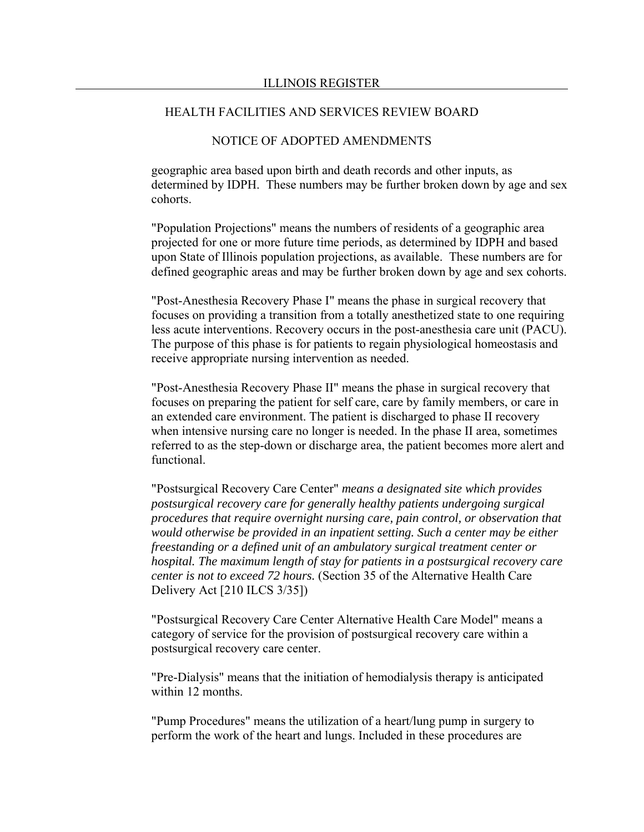## NOTICE OF ADOPTED AMENDMENTS

geographic area based upon birth and death records and other inputs, as determined by IDPH. These numbers may be further broken down by age and sex cohorts.

"Population Projections" means the numbers of residents of a geographic area projected for one or more future time periods, as determined by IDPH and based upon State of Illinois population projections, as available. These numbers are for defined geographic areas and may be further broken down by age and sex cohorts.

"Post-Anesthesia Recovery Phase I" means the phase in surgical recovery that focuses on providing a transition from a totally anesthetized state to one requiring less acute interventions. Recovery occurs in the post-anesthesia care unit (PACU). The purpose of this phase is for patients to regain physiological homeostasis and receive appropriate nursing intervention as needed.

"Post-Anesthesia Recovery Phase II" means the phase in surgical recovery that focuses on preparing the patient for self care, care by family members, or care in an extended care environment. The patient is discharged to phase II recovery when intensive nursing care no longer is needed. In the phase II area, sometimes referred to as the step-down or discharge area, the patient becomes more alert and functional.

"Postsurgical Recovery Care Center" *means a designated site which provides postsurgical recovery care for generally healthy patients undergoing surgical procedures that require overnight nursing care, pain control, or observation that would otherwise be provided in an inpatient setting. Such a center may be either freestanding or a defined unit of an ambulatory surgical treatment center or hospital. The maximum length of stay for patients in a postsurgical recovery care center is not to exceed 72 hours.* (Section 35 of the Alternative Health Care Delivery Act [210 ILCS 3/35])

"Postsurgical Recovery Care Center Alternative Health Care Model" means a category of service for the provision of postsurgical recovery care within a postsurgical recovery care center.

"Pre-Dialysis" means that the initiation of hemodialysis therapy is anticipated within 12 months.

"Pump Procedures" means the utilization of a heart/lung pump in surgery to perform the work of the heart and lungs. Included in these procedures are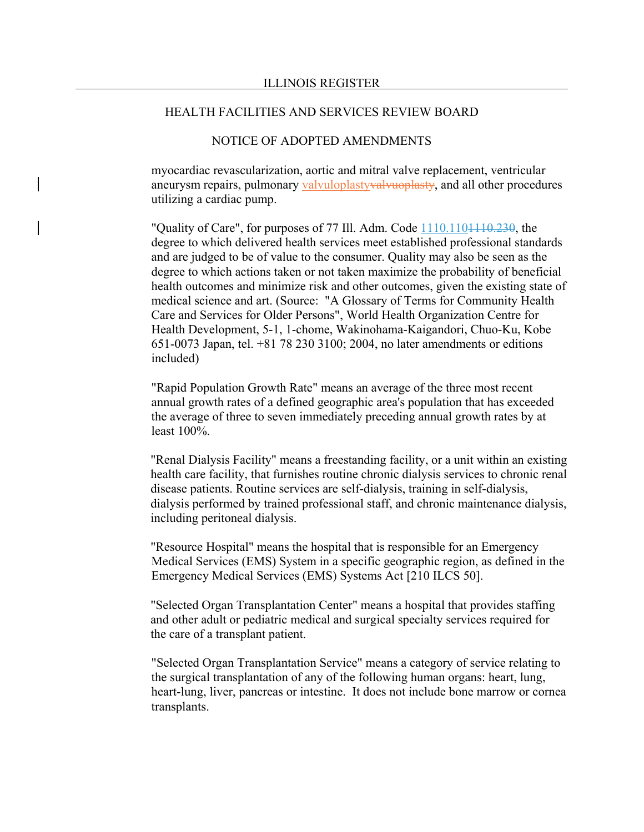## NOTICE OF ADOPTED AMENDMENTS

myocardiac revascularization, aortic and mitral valve replacement, ventricular aneurysm repairs, pulmonary valvuloplastyvalvuoplasty, and all other procedures utilizing a cardiac pump.

"Quality of Care", for purposes of 77 Ill. Adm. Code  $1110.1101110.230$ , the degree to which delivered health services meet established professional standards and are judged to be of value to the consumer. Quality may also be seen as the degree to which actions taken or not taken maximize the probability of beneficial health outcomes and minimize risk and other outcomes, given the existing state of medical science and art. (Source: "A Glossary of Terms for Community Health Care and Services for Older Persons", World Health Organization Centre for Health Development, 5-1, 1-chome, Wakinohama-Kaigandori, Chuo-Ku, Kobe 651-0073 Japan, tel. +81 78 230 3100; 2004, no later amendments or editions included)

"Rapid Population Growth Rate" means an average of the three most recent annual growth rates of a defined geographic area's population that has exceeded the average of three to seven immediately preceding annual growth rates by at least 100%.

"Renal Dialysis Facility" means a freestanding facility, or a unit within an existing health care facility, that furnishes routine chronic dialysis services to chronic renal disease patients. Routine services are self-dialysis, training in self-dialysis, dialysis performed by trained professional staff, and chronic maintenance dialysis, including peritoneal dialysis.

"Resource Hospital" means the hospital that is responsible for an Emergency Medical Services (EMS) System in a specific geographic region, as defined in the Emergency Medical Services (EMS) Systems Act [210 ILCS 50].

"Selected Organ Transplantation Center" means a hospital that provides staffing and other adult or pediatric medical and surgical specialty services required for the care of a transplant patient.

"Selected Organ Transplantation Service" means a category of service relating to the surgical transplantation of any of the following human organs: heart, lung, heart-lung, liver, pancreas or intestine. It does not include bone marrow or cornea transplants.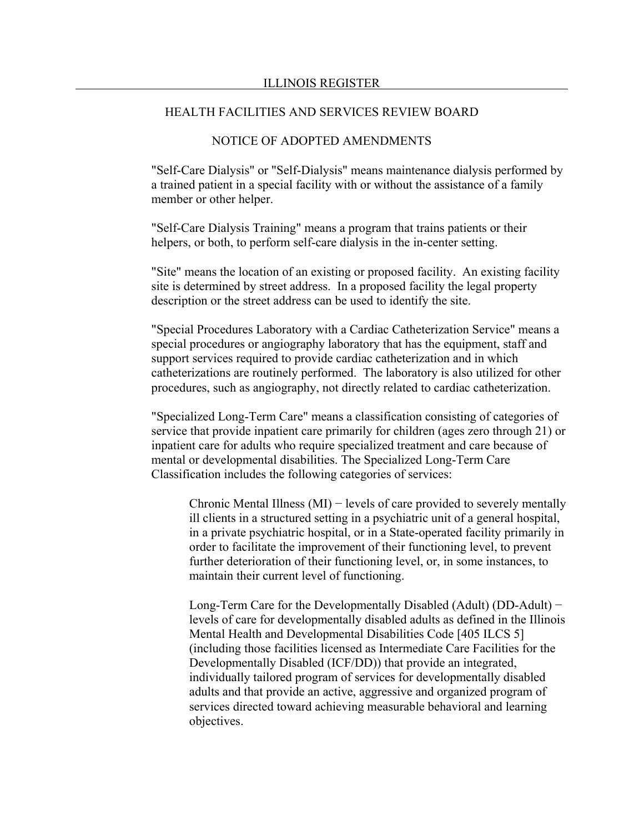## NOTICE OF ADOPTED AMENDMENTS

"Self-Care Dialysis" or "Self-Dialysis" means maintenance dialysis performed by a trained patient in a special facility with or without the assistance of a family member or other helper.

"Self-Care Dialysis Training" means a program that trains patients or their helpers, or both, to perform self-care dialysis in the in-center setting.

"Site" means the location of an existing or proposed facility. An existing facility site is determined by street address. In a proposed facility the legal property description or the street address can be used to identify the site.

"Special Procedures Laboratory with a Cardiac Catheterization Service" means a special procedures or angiography laboratory that has the equipment, staff and support services required to provide cardiac catheterization and in which catheterizations are routinely performed. The laboratory is also utilized for other procedures, such as angiography, not directly related to cardiac catheterization.

"Specialized Long-Term Care" means a classification consisting of categories of service that provide inpatient care primarily for children (ages zero through 21) or inpatient care for adults who require specialized treatment and care because of mental or developmental disabilities. The Specialized Long-Term Care Classification includes the following categories of services:

Chronic Mental Illness (MI) − levels of care provided to severely mentally ill clients in a structured setting in a psychiatric unit of a general hospital, in a private psychiatric hospital, or in a State-operated facility primarily in order to facilitate the improvement of their functioning level, to prevent further deterioration of their functioning level, or, in some instances, to maintain their current level of functioning.

Long-Term Care for the Developmentally Disabled (Adult) (DD-Adult) − levels of care for developmentally disabled adults as defined in the Illinois Mental Health and Developmental Disabilities Code [405 ILCS 5] (including those facilities licensed as Intermediate Care Facilities for the Developmentally Disabled (ICF/DD)) that provide an integrated, individually tailored program of services for developmentally disabled adults and that provide an active, aggressive and organized program of services directed toward achieving measurable behavioral and learning objectives.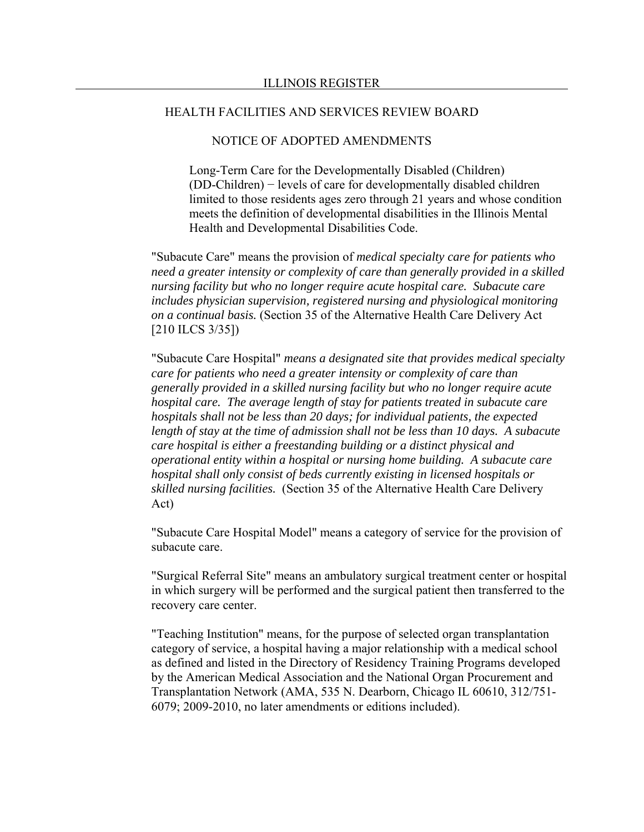## NOTICE OF ADOPTED AMENDMENTS

Long-Term Care for the Developmentally Disabled (Children) (DD-Children) − levels of care for developmentally disabled children limited to those residents ages zero through 21 years and whose condition meets the definition of developmental disabilities in the Illinois Mental Health and Developmental Disabilities Code.

"Subacute Care" means the provision of *medical specialty care for patients who need a greater intensity or complexity of care than generally provided in a skilled nursing facility but who no longer require acute hospital care. Subacute care includes physician supervision, registered nursing and physiological monitoring on a continual basis.* (Section 35 of the Alternative Health Care Delivery Act [210 ILCS 3/35])

"Subacute Care Hospital" *means a designated site that provides medical specialty care for patients who need a greater intensity or complexity of care than generally provided in a skilled nursing facility but who no longer require acute hospital care. The average length of stay for patients treated in subacute care hospitals shall not be less than 20 days; for individual patients, the expected length of stay at the time of admission shall not be less than 10 days. A subacute care hospital is either a freestanding building or a distinct physical and operational entity within a hospital or nursing home building. A subacute care hospital shall only consist of beds currently existing in licensed hospitals or skilled nursing facilities.* (Section 35 of the Alternative Health Care Delivery Act)

"Subacute Care Hospital Model" means a category of service for the provision of subacute care.

"Surgical Referral Site" means an ambulatory surgical treatment center or hospital in which surgery will be performed and the surgical patient then transferred to the recovery care center.

"Teaching Institution" means, for the purpose of selected organ transplantation category of service, a hospital having a major relationship with a medical school as defined and listed in the Directory of Residency Training Programs developed by the American Medical Association and the National Organ Procurement and Transplantation Network (AMA, 535 N. Dearborn, Chicago IL 60610, 312/751- 6079; 2009-2010, no later amendments or editions included).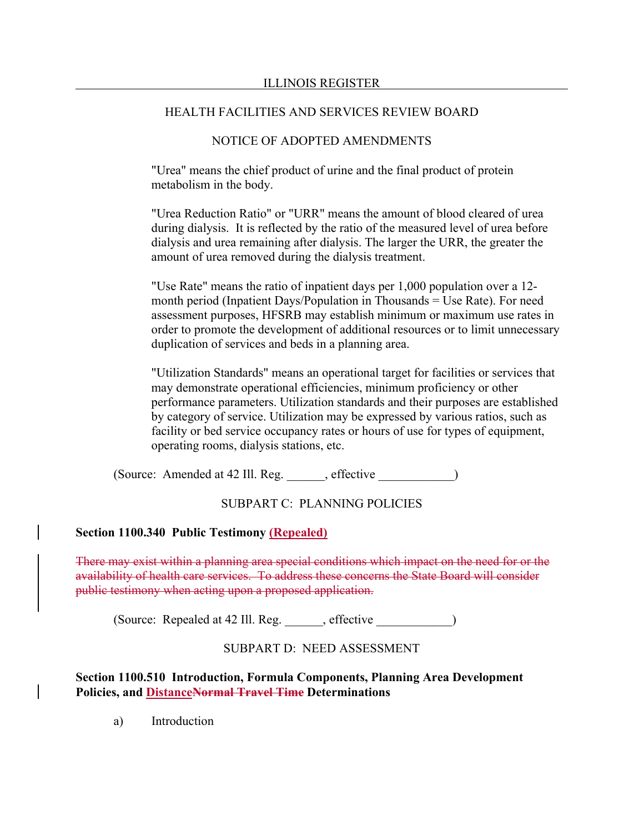## NOTICE OF ADOPTED AMENDMENTS

"Urea" means the chief product of urine and the final product of protein metabolism in the body.

"Urea Reduction Ratio" or "URR" means the amount of blood cleared of urea during dialysis. It is reflected by the ratio of the measured level of urea before dialysis and urea remaining after dialysis. The larger the URR, the greater the amount of urea removed during the dialysis treatment.

"Use Rate" means the ratio of inpatient days per 1,000 population over a 12 month period (Inpatient Days/Population in Thousands = Use Rate). For need assessment purposes, HFSRB may establish minimum or maximum use rates in order to promote the development of additional resources or to limit unnecessary duplication of services and beds in a planning area.

"Utilization Standards" means an operational target for facilities or services that may demonstrate operational efficiencies, minimum proficiency or other performance parameters. Utilization standards and their purposes are established by category of service. Utilization may be expressed by various ratios, such as facility or bed service occupancy rates or hours of use for types of equipment, operating rooms, dialysis stations, etc.

(Source: Amended at 42 Ill. Reg. effective )

# SUBPART C: PLANNING POLICIES

## **Section 1100.340 Public Testimony (Repealed)**

There may exist within a planning area special conditions which impact on the need for or the availability of health care services. To address these concerns the State Board will consider public testimony when acting upon a proposed application.

(Source: Repealed at 42 Ill. Reg. effective )

# SUBPART D: NEED ASSESSMENT

**Section 1100.510 Introduction, Formula Components, Planning Area Development Policies, and DistanceNormal Travel Time Determinations**

a) Introduction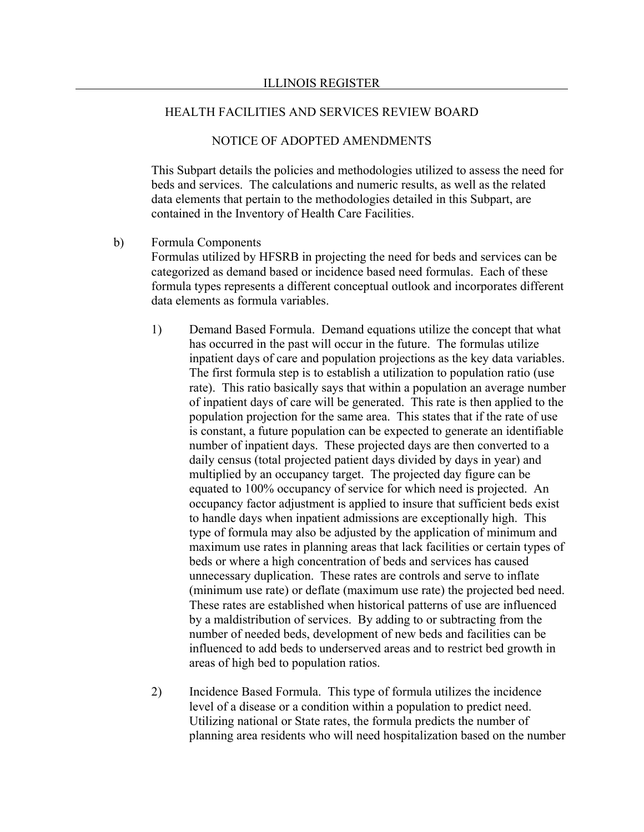## NOTICE OF ADOPTED AMENDMENTS

This Subpart details the policies and methodologies utilized to assess the need for beds and services. The calculations and numeric results, as well as the related data elements that pertain to the methodologies detailed in this Subpart, are contained in the Inventory of Health Care Facilities.

- b) Formula Components Formulas utilized by HFSRB in projecting the need for beds and services can be categorized as demand based or incidence based need formulas. Each of these formula types represents a different conceptual outlook and incorporates different data elements as formula variables.
	- 1) Demand Based Formula. Demand equations utilize the concept that what has occurred in the past will occur in the future. The formulas utilize inpatient days of care and population projections as the key data variables. The first formula step is to establish a utilization to population ratio (use rate). This ratio basically says that within a population an average number of inpatient days of care will be generated. This rate is then applied to the population projection for the same area. This states that if the rate of use is constant, a future population can be expected to generate an identifiable number of inpatient days. These projected days are then converted to a daily census (total projected patient days divided by days in year) and multiplied by an occupancy target. The projected day figure can be equated to 100% occupancy of service for which need is projected. An occupancy factor adjustment is applied to insure that sufficient beds exist to handle days when inpatient admissions are exceptionally high. This type of formula may also be adjusted by the application of minimum and maximum use rates in planning areas that lack facilities or certain types of beds or where a high concentration of beds and services has caused unnecessary duplication. These rates are controls and serve to inflate (minimum use rate) or deflate (maximum use rate) the projected bed need. These rates are established when historical patterns of use are influenced by a maldistribution of services. By adding to or subtracting from the number of needed beds, development of new beds and facilities can be influenced to add beds to underserved areas and to restrict bed growth in areas of high bed to population ratios.
	- 2) Incidence Based Formula. This type of formula utilizes the incidence level of a disease or a condition within a population to predict need. Utilizing national or State rates, the formula predicts the number of planning area residents who will need hospitalization based on the number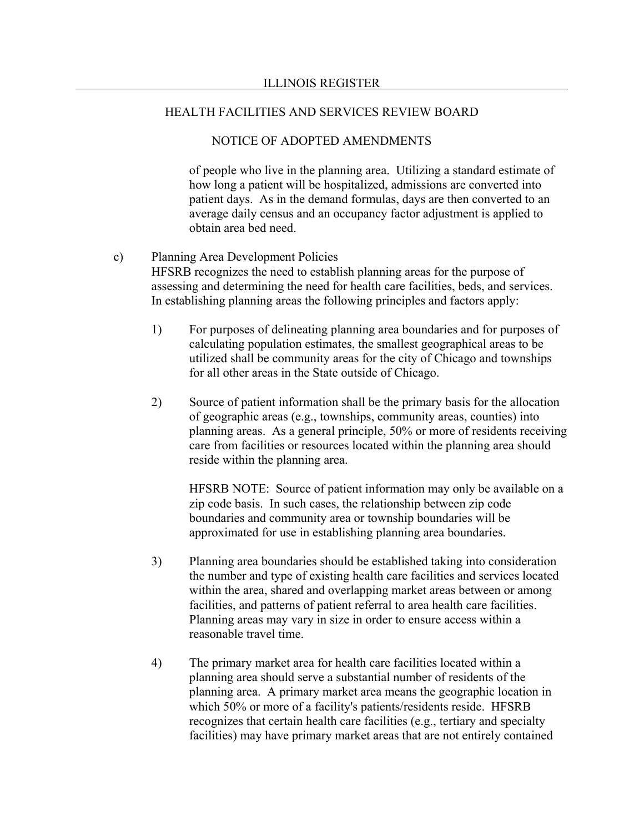## NOTICE OF ADOPTED AMENDMENTS

of people who live in the planning area. Utilizing a standard estimate of how long a patient will be hospitalized, admissions are converted into patient days. As in the demand formulas, days are then converted to an average daily census and an occupancy factor adjustment is applied to obtain area bed need.

- c) Planning Area Development Policies HFSRB recognizes the need to establish planning areas for the purpose of assessing and determining the need for health care facilities, beds, and services. In establishing planning areas the following principles and factors apply:
	- 1) For purposes of delineating planning area boundaries and for purposes of calculating population estimates, the smallest geographical areas to be utilized shall be community areas for the city of Chicago and townships for all other areas in the State outside of Chicago.
	- 2) Source of patient information shall be the primary basis for the allocation of geographic areas (e.g., townships, community areas, counties) into planning areas. As a general principle, 50% or more of residents receiving care from facilities or resources located within the planning area should reside within the planning area.

HFSRB NOTE: Source of patient information may only be available on a zip code basis. In such cases, the relationship between zip code boundaries and community area or township boundaries will be approximated for use in establishing planning area boundaries.

- 3) Planning area boundaries should be established taking into consideration the number and type of existing health care facilities and services located within the area, shared and overlapping market areas between or among facilities, and patterns of patient referral to area health care facilities. Planning areas may vary in size in order to ensure access within a reasonable travel time.
- 4) The primary market area for health care facilities located within a planning area should serve a substantial number of residents of the planning area. A primary market area means the geographic location in which 50% or more of a facility's patients/residents reside. HFSRB recognizes that certain health care facilities (e.g., tertiary and specialty facilities) may have primary market areas that are not entirely contained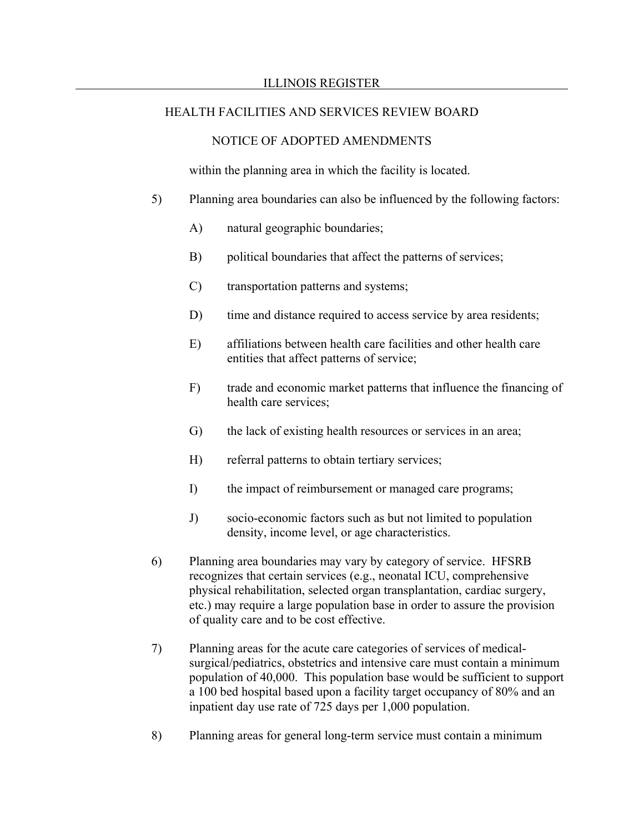## NOTICE OF ADOPTED AMENDMENTS

within the planning area in which the facility is located.

- 5) Planning area boundaries can also be influenced by the following factors:
	- A) natural geographic boundaries;
	- B) political boundaries that affect the patterns of services;
	- C) transportation patterns and systems;
	- D) time and distance required to access service by area residents;
	- E) affiliations between health care facilities and other health care entities that affect patterns of service;
	- F) trade and economic market patterns that influence the financing of health care services;
	- G) the lack of existing health resources or services in an area;
	- H) referral patterns to obtain tertiary services;
	- I) the impact of reimbursement or managed care programs;
	- J) socio-economic factors such as but not limited to population density, income level, or age characteristics.
- 6) Planning area boundaries may vary by category of service. HFSRB recognizes that certain services (e.g., neonatal ICU, comprehensive physical rehabilitation, selected organ transplantation, cardiac surgery, etc.) may require a large population base in order to assure the provision of quality care and to be cost effective.
- 7) Planning areas for the acute care categories of services of medicalsurgical/pediatrics, obstetrics and intensive care must contain a minimum population of 40,000. This population base would be sufficient to support a 100 bed hospital based upon a facility target occupancy of 80% and an inpatient day use rate of 725 days per 1,000 population.
- 8) Planning areas for general long-term service must contain a minimum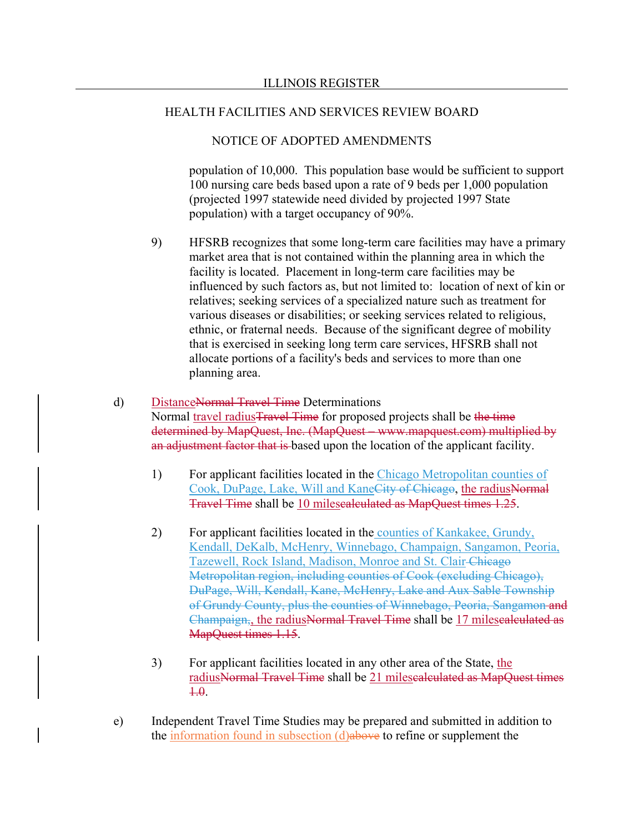## NOTICE OF ADOPTED AMENDMENTS

population of 10,000. This population base would be sufficient to support 100 nursing care beds based upon a rate of 9 beds per 1,000 population (projected 1997 statewide need divided by projected 1997 State population) with a target occupancy of 90%.

9) HFSRB recognizes that some long-term care facilities may have a primary market area that is not contained within the planning area in which the facility is located. Placement in long-term care facilities may be influenced by such factors as, but not limited to: location of next of kin or relatives; seeking services of a specialized nature such as treatment for various diseases or disabilities; or seeking services related to religious, ethnic, or fraternal needs. Because of the significant degree of mobility that is exercised in seeking long term care services, HFSRB shall not allocate portions of a facility's beds and services to more than one planning area.

# d) DistanceNormal Travel Time Determinations

Normal travel radius Travel Time for proposed projects shall be the time determined by MapQuest, Inc. (MapQuest – www.mapquest.com) multiplied by an adjustment factor that is based upon the location of the applicant facility.

- 1) For applicant facilities located in the Chicago Metropolitan counties of Cook, DuPage, Lake, Will and KaneCity of Chicago, the radiusNormal Travel Time shall be 10 milescalculated as MapQuest times 1.25.
- 2) For applicant facilities located in the counties of Kankakee, Grundy, Kendall, DeKalb, McHenry, Winnebago, Champaign, Sangamon, Peoria, Tazewell, Rock Island, Madison, Monroe and St. Clair Chicago Metropolitan region, including counties of Cook (excluding Chicago), DuPage, Will, Kendall, Kane, McHenry, Lake and Aux Sable Township of Grundy County, plus the counties of Winnebago, Peoria, Sangamon and Champaign,, the radiusNormal Travel Time shall be 17 milescalculated as MapQuest times 1.15.
- 3) For applicant facilities located in any other area of the State, the radiusNormal Travel Time shall be 21 milescalculated as MapQuest times  $+.\theta$ .
- e) Independent Travel Time Studies may be prepared and submitted in addition to the information found in subsection (d)above to refine or supplement the